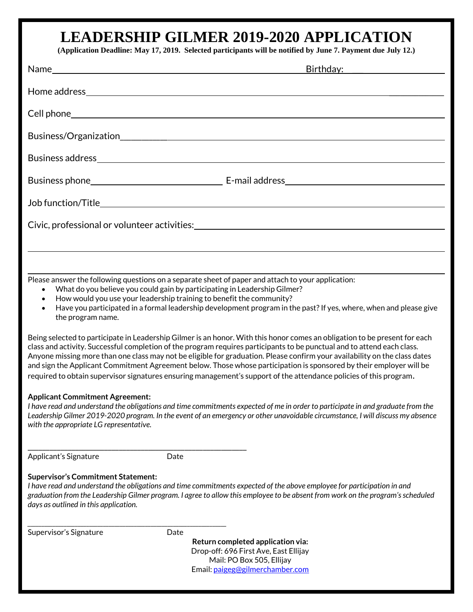## **LEADERSHIP GILMER 2019-2020 APPLICATION**

**(Application Deadline: May 17, 2019. Selected participants will be notified by June 7. Payment due July 12.)**

|                                                                                    | Birthday: 2008 - 2014 - 2014 - 2014 - 2014 - 2014 - 2014 - 2014 - 2014 - 2014 - 2014 - 2014 - 2014 - 2014 - 20                                                                                                                                                                                                                                                                                                                                                                                                                                                                                                                                                                                                                                                      |
|------------------------------------------------------------------------------------|---------------------------------------------------------------------------------------------------------------------------------------------------------------------------------------------------------------------------------------------------------------------------------------------------------------------------------------------------------------------------------------------------------------------------------------------------------------------------------------------------------------------------------------------------------------------------------------------------------------------------------------------------------------------------------------------------------------------------------------------------------------------|
|                                                                                    |                                                                                                                                                                                                                                                                                                                                                                                                                                                                                                                                                                                                                                                                                                                                                                     |
|                                                                                    |                                                                                                                                                                                                                                                                                                                                                                                                                                                                                                                                                                                                                                                                                                                                                                     |
|                                                                                    |                                                                                                                                                                                                                                                                                                                                                                                                                                                                                                                                                                                                                                                                                                                                                                     |
|                                                                                    |                                                                                                                                                                                                                                                                                                                                                                                                                                                                                                                                                                                                                                                                                                                                                                     |
|                                                                                    |                                                                                                                                                                                                                                                                                                                                                                                                                                                                                                                                                                                                                                                                                                                                                                     |
|                                                                                    |                                                                                                                                                                                                                                                                                                                                                                                                                                                                                                                                                                                                                                                                                                                                                                     |
|                                                                                    | Civic, professional or volunteer activities: ___________________________________                                                                                                                                                                                                                                                                                                                                                                                                                                                                                                                                                                                                                                                                                    |
|                                                                                    |                                                                                                                                                                                                                                                                                                                                                                                                                                                                                                                                                                                                                                                                                                                                                                     |
|                                                                                    |                                                                                                                                                                                                                                                                                                                                                                                                                                                                                                                                                                                                                                                                                                                                                                     |
| $\bullet$<br>$\bullet$<br>the program name.                                        | Please answer the following questions on a separate sheet of paper and attach to your application:<br>What do you believe you could gain by participating in Leadership Gilmer?<br>How would you use your leadership training to benefit the community?<br>Have you participated in a formal leadership development program in the past? If yes, where, when and please give<br>Being selected to participate in Leadership Gilmer is an honor. With this honor comes an obligation to be present for each<br>class and activity. Successful completion of the program requires participants to be punctual and to attend each class.<br>Anyone missing more than one class may not be eligible for graduation. Please confirm your availability on the class dates |
|                                                                                    | and sign the Applicant Commitment Agreement below. Those whose participation is sponsored by their employer will be<br>required to obtain supervisor signatures ensuring management's support of the attendance policies of this program.                                                                                                                                                                                                                                                                                                                                                                                                                                                                                                                           |
| <b>Applicant Commitment Agreement:</b><br>with the appropriate LG representative.  | I have read and understand the obligations and time commitments expected of me in order to participate in and graduate from the<br>Leadership Gilmer 2019-2020 program. In the event of an emergency or other unavoidable circumstance, I will discuss my absence                                                                                                                                                                                                                                                                                                                                                                                                                                                                                                   |
| Applicant's Signature                                                              | Date                                                                                                                                                                                                                                                                                                                                                                                                                                                                                                                                                                                                                                                                                                                                                                |
| <b>Supervisor's Commitment Statement:</b><br>days as outlined in this application. | I have read and understand the obligations and time commitments expected of the above employee for participation in and<br>graduation from the Leadership Gilmer program. I agree to allow this employee to be absent from work on the program's scheduled                                                                                                                                                                                                                                                                                                                                                                                                                                                                                                          |
| Supervisor's Signature                                                             | Date<br>Return completed application via:<br>Drop-off: 696 First Ave. East Ellijav                                                                                                                                                                                                                                                                                                                                                                                                                                                                                                                                                                                                                                                                                  |

Drop-off: 696 First Ave, East Ellijay Mail: PO Box 505, Ellijay Email[: paigeg@gilmerchamber.com](mailto:paigeg@gilmerchamber.com)